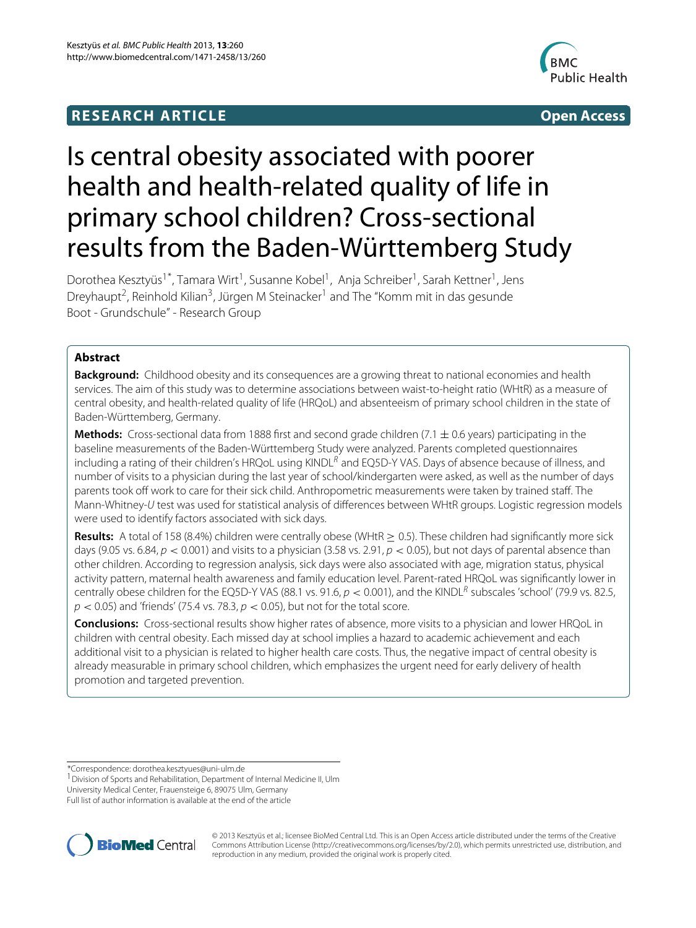## **RESEARCH ARTICLE Open Access**



# Is central obesity associated with poorer health and health-related quality of life in primary school children? Cross-sectional results from the Baden-Württemberg Study

Dorothea Kesztyüs<sup>1\*</sup>, Tamara Wirt<sup>1</sup>, Susanne Kobel<sup>1</sup>, Anja Schreiber<sup>1</sup>, Sarah Kettner<sup>1</sup>, Jens Dreyhaupt<sup>2</sup>, Reinhold Kilian<sup>3</sup>, Jürgen M Steinacker<sup>1</sup> and The "Komm mit in das gesunde Boot - Grundschule" - Research Group

## **Abstract**

**Background:** Childhood obesity and its consequences are a growing threat to national economies and health services. The aim of this study was to determine associations between waist-to-height ratio (WHtR) as a measure of central obesity, and health-related quality of life (HRQoL) and absenteeism of primary school children in the state of Baden-Württemberg, Germany.

**Methods:** Cross-sectional data from 1888 first and second grade children  $(7.1 \pm 0.6$  years) participating in the baseline measurements of the Baden-Württemberg Study were analyzed. Parents completed questionnaires including a rating of their children's HRQoL using KINDL $^R$  and EQ5D-Y VAS. Days of absence because of illness, and number of visits to a physician during the last year of school/kindergarten were asked, as well as the number of days parents took off work to care for their sick child. Anthropometric measurements were taken by trained staff. The Mann-Whitney-U test was used for statistical analysis of differences between WHtR groups. Logistic regression models were used to identify factors associated with sick days.

**Results:** A total of 158 (8.4%) children were centrally obese (WHtR  $\geq$  0.5). These children had significantly more sick days (9.05 vs. 6.84, p *<* 0.001) and visits to a physician (3.58 vs. 2.91, p *<* 0.05), but not days of parental absence than other children. According to regression analysis, sick days were also associated with age, migration status, physical activity pattern, maternal health awareness and family education level. Parent-rated HRQoL was significantly lower in centrally obese children for the EQ5D-Y VAS (88.1 vs. 91.6,  $p < 0.001$ ), and the KINDL<sup>R</sup> subscales 'school' (79.9 vs. 82.5, p *<* 0.05) and 'friends' (75.4 vs. 78.3, p *<* 0.05), but not for the total score.

**Conclusions:** Cross-sectional results show higher rates of absence, more visits to a physician and lower HRQoL in children with central obesity. Each missed day at school implies a hazard to academic achievement and each additional visit to a physician is related to higher health care costs. Thus, the negative impact of central obesity is already measurable in primary school children, which emphasizes the urgent need for early delivery of health promotion and targeted prevention.

\*Correspondence: dorothea.kesztyues@uni-ulm.de

<sup>1</sup> Division of Sports and Rehabilitation, Department of Internal Medicine II, Ulm University Medical Center, Frauensteige 6, 89075 Ulm, Germany

Full list of author information is available at the end of the article



© 2013 Kesztyus et al.; licensee BioMed Central Ltd. This is an Open Access article distributed under the terms of the Creative ¨ Commons Attribution License (http://creativecommons.org/licenses/by/2.0), which permits unrestricted use, distribution, and reproduction in any medium, provided the original work is properly cited.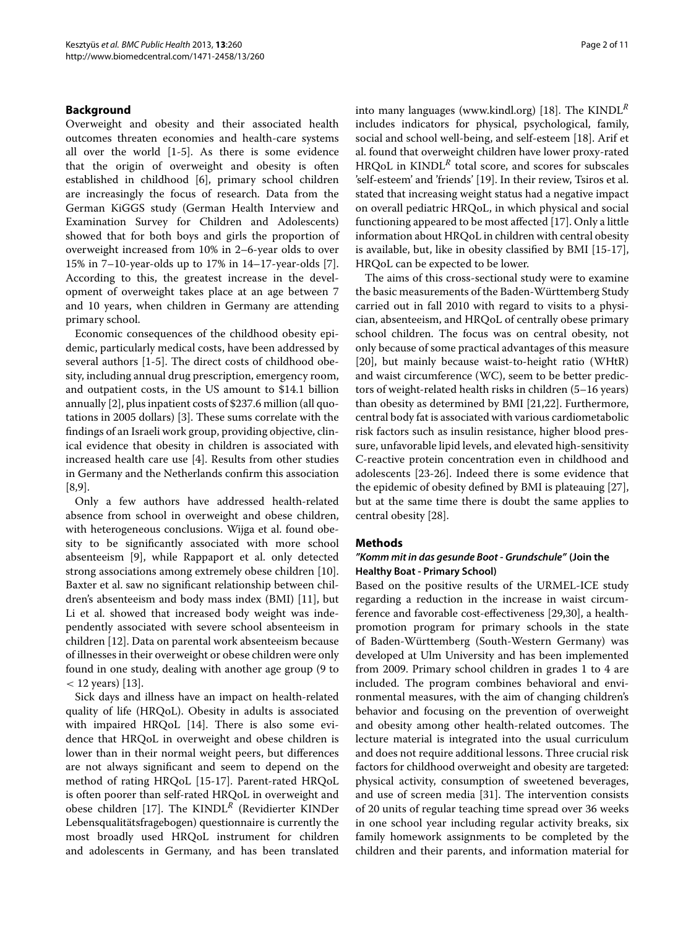#### **Background**

Overweight and obesity and their associated health outcomes threaten economies and health-care systems all over the world [\[1](#page-8-0)[-5\]](#page-8-1). As there is some evidence that the origin of overweight and obesity is often established in childhood [\[6\]](#page-8-2), primary school children are increasingly the focus of research. Data from the German KiGGS study (German Health Interview and Examination Survey for Children and Adolescents) showed that for both boys and girls the proportion of overweight increased from 10% in 2–6-year olds to over 15% in 7–10-year-olds up to 17% in 14–17-year-olds [\[7\]](#page-8-3). According to this, the greatest increase in the development of overweight takes place at an age between 7 and 10 years, when children in Germany are attending primary school.

Economic consequences of the childhood obesity epidemic, particularly medical costs, have been addressed by several authors [\[1](#page-8-0)[-5\]](#page-8-1). The direct costs of childhood obesity, including annual drug prescription, emergency room, and outpatient costs, in the US amount to \$14.1 billion annually [\[2\]](#page-8-4), plus inpatient costs of \$237.6 million (all quotations in 2005 dollars) [\[3\]](#page-8-5). These sums correlate with the findings of an Israeli work group, providing objective, clinical evidence that obesity in children is associated with increased health care use [\[4\]](#page-8-6). Results from other studies in Germany and the Netherlands confirm this association [\[8](#page-8-7)[,9\]](#page-8-8).

Only a few authors have addressed health-related absence from school in overweight and obese children, with heterogeneous conclusions. Wijga et al. found obesity to be significantly associated with more school absenteeism [\[9\]](#page-8-8), while Rappaport et al. only detected strong associations among extremely obese children [\[10\]](#page-9-0). Baxter et al. saw no significant relationship between children's absenteeism and body mass index (BMI) [\[11\]](#page-9-1), but Li et al. showed that increased body weight was independently associated with severe school absenteeism in children [\[12\]](#page-9-2). Data on parental work absenteeism because of illnesses in their overweight or obese children were only found in one study, dealing with another age group (9 to *<* 12 years) [\[13\]](#page-9-3).

Sick days and illness have an impact on health-related quality of life (HRQoL). Obesity in adults is associated with impaired HRQoL [\[14\]](#page-9-4). There is also some evidence that HRQoL in overweight and obese children is lower than in their normal weight peers, but differences are not always significant and seem to depend on the method of rating HRQoL [\[15](#page-9-5)[-17\]](#page-9-6). Parent-rated HRQoL is often poorer than self-rated HRQoL in overweight and obese children [\[17\]](#page-9-6). The KINDL*<sup>R</sup>* (Revidierter KINDer Lebensqualitätsfragebogen) questionnaire is currently the most broadly used HRQoL instrument for children and adolescents in Germany, and has been translated

into many languages [\(www.kindl.org\)](www.kindl.org) [\[18\]](#page-9-7). The KINDL*<sup>R</sup>* includes indicators for physical, psychological, family, social and school well-being, and self-esteem [\[18\]](#page-9-7). Arif et al. found that overweight children have lower proxy-rated HRQoL in  $KINDL<sup>R</sup>$  total score, and scores for subscales 'self-esteem' and 'friends' [\[19\]](#page-9-8). In their review, Tsiros et al. stated that increasing weight status had a negative impact on overall pediatric HRQoL, in which physical and social functioning appeared to be most affected [\[17\]](#page-9-6). Only a little information about HRQoL in children with central obesity is available, but, like in obesity classified by BMI [\[15](#page-9-5)[-17\]](#page-9-6), HRQoL can be expected to be lower.

The aims of this cross-sectional study were to examine the basic measurements of the Baden-Württemberg Study carried out in fall 2010 with regard to visits to a physician, absenteeism, and HRQoL of centrally obese primary school children. The focus was on central obesity, not only because of some practical advantages of this measure [\[20\]](#page-9-9), but mainly because waist-to-height ratio (WHtR) and waist circumference (WC), seem to be better predictors of weight-related health risks in children (5–16 years) than obesity as determined by BMI [\[21,](#page-9-10)[22\]](#page-9-11). Furthermore, central body fat is associated with various cardiometabolic risk factors such as insulin resistance, higher blood pressure, unfavorable lipid levels, and elevated high-sensitivity C-reactive protein concentration even in childhood and adolescents [\[23](#page-9-12)[-26\]](#page-9-13). Indeed there is some evidence that the epidemic of obesity defined by BMI is plateauing [\[27\]](#page-9-14), but at the same time there is doubt the same applies to central obesity [\[28\]](#page-9-15).

#### **Methods**

## *"Komm mit in das gesunde Boot - Grundschule"* **(Join the Healthy Boat - Primary School)**

Based on the positive results of the URMEL-ICE study regarding a reduction in the increase in waist circumference and favorable cost-effectiveness [\[29,](#page-9-16)[30\]](#page-9-17), a healthpromotion program for primary schools in the state of Baden-Wurttemberg (South-Western Germany) was ¨ developed at Ulm University and has been implemented from 2009. Primary school children in grades 1 to 4 are included. The program combines behavioral and environmental measures, with the aim of changing children's behavior and focusing on the prevention of overweight and obesity among other health-related outcomes. The lecture material is integrated into the usual curriculum and does not require additional lessons. Three crucial risk factors for childhood overweight and obesity are targeted: physical activity, consumption of sweetened beverages, and use of screen media [\[31\]](#page-9-18). The intervention consists of 20 units of regular teaching time spread over 36 weeks in one school year including regular activity breaks, six family homework assignments to be completed by the children and their parents, and information material for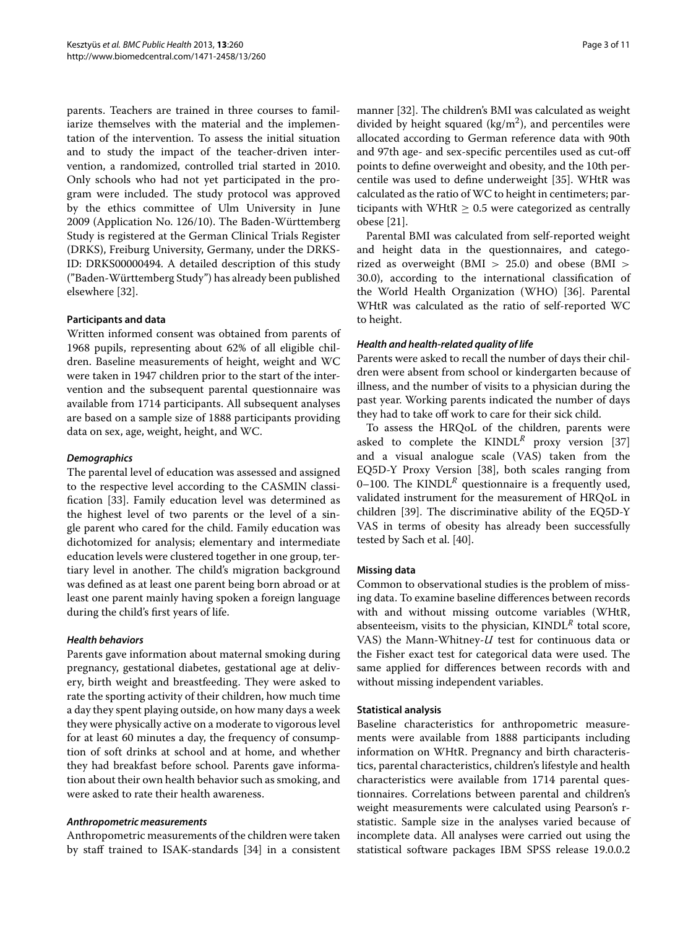parents. Teachers are trained in three courses to familiarize themselves with the material and the implementation of the intervention. To assess the initial situation and to study the impact of the teacher-driven intervention, a randomized, controlled trial started in 2010. Only schools who had not yet participated in the program were included. The study protocol was approved by the ethics committee of Ulm University in June 2009 (Application No. 126/10). The Baden-Württemberg Study is registered at the German Clinical Trials Register (DRKS), Freiburg University, Germany, under the DRKS-ID: DRKS00000494. A detailed description of this study ("Baden-Wurttemberg Study") has already been published ¨ elsewhere [\[32\]](#page-9-19).

## **Participants and data**

Written informed consent was obtained from parents of 1968 pupils, representing about 62% of all eligible children. Baseline measurements of height, weight and WC were taken in 1947 children prior to the start of the intervention and the subsequent parental questionnaire was available from 1714 participants. All subsequent analyses are based on a sample size of 1888 participants providing data on sex, age, weight, height, and WC.

## *Demographics*

The parental level of education was assessed and assigned to the respective level according to the CASMIN classification [\[33\]](#page-9-20). Family education level was determined as the highest level of two parents or the level of a single parent who cared for the child. Family education was dichotomized for analysis; elementary and intermediate education levels were clustered together in one group, tertiary level in another. The child's migration background was defined as at least one parent being born abroad or at least one parent mainly having spoken a foreign language during the child's first years of life.

## *Health behaviors*

Parents gave information about maternal smoking during pregnancy, gestational diabetes, gestational age at delivery, birth weight and breastfeeding. They were asked to rate the sporting activity of their children, how much time a day they spent playing outside, on how many days a week they were physically active on a moderate to vigorous level for at least 60 minutes a day, the frequency of consumption of soft drinks at school and at home, and whether they had breakfast before school. Parents gave information about their own health behavior such as smoking, and were asked to rate their health awareness.

## *Anthropometric measurements*

Anthropometric measurements of the children were taken by staff trained to ISAK-standards [\[34\]](#page-9-21) in a consistent manner [\[32\]](#page-9-19). The children's BMI was calculated as weight divided by height squared (kg/m<sup>2</sup>), and percentiles were allocated according to German reference data with 90th and 97th age- and sex-specific percentiles used as cut-off points to define overweight and obesity, and the 10th percentile was used to define underweight [\[35\]](#page-9-22). WHtR was calculated as the ratio of WC to height in centimeters; participants with WHtR  $\geq$  0.5 were categorized as centrally obese [\[21\]](#page-9-10).

Parental BMI was calculated from self-reported weight and height data in the questionnaires, and categorized as overweight (BMI *>* 25.0) and obese (BMI *>* 30.0), according to the international classification of the World Health Organization (WHO) [\[36\]](#page-9-23). Parental WHtR was calculated as the ratio of self-reported WC to height.

## *Health and health-related quality of life*

Parents were asked to recall the number of days their children were absent from school or kindergarten because of illness, and the number of visits to a physician during the past year. Working parents indicated the number of days they had to take off work to care for their sick child.

To assess the HRQoL of the children, parents were asked to complete the  $KINDL^R$  proxy version [\[37\]](#page-9-24) and a visual analogue scale (VAS) taken from the EQ5D-Y Proxy Version [\[38\]](#page-9-25), both scales ranging from 0–100. The KINDL<sup>R</sup> questionnaire is a frequently used, validated instrument for the measurement of HRQoL in children [\[39\]](#page-9-26). The discriminative ability of the EQ5D-Y VAS in terms of obesity has already been successfully tested by Sach et al. [\[40\]](#page-9-27).

## **Missing data**

Common to observational studies is the problem of missing data. To examine baseline differences between records with and without missing outcome variables (WHtR, absenteeism, visits to the physician, KINDL*<sup>R</sup>* total score, VAS) the Mann-Whitney-*U* test for continuous data or the Fisher exact test for categorical data were used. The same applied for differences between records with and without missing independent variables.

## **Statistical analysis**

Baseline characteristics for anthropometric measurements were available from 1888 participants including information on WHtR. Pregnancy and birth characteristics, parental characteristics, children's lifestyle and health characteristics were available from 1714 parental questionnaires. Correlations between parental and children's weight measurements were calculated using Pearson's rstatistic. Sample size in the analyses varied because of incomplete data. All analyses were carried out using the statistical software packages IBM SPSS release 19.0.0.2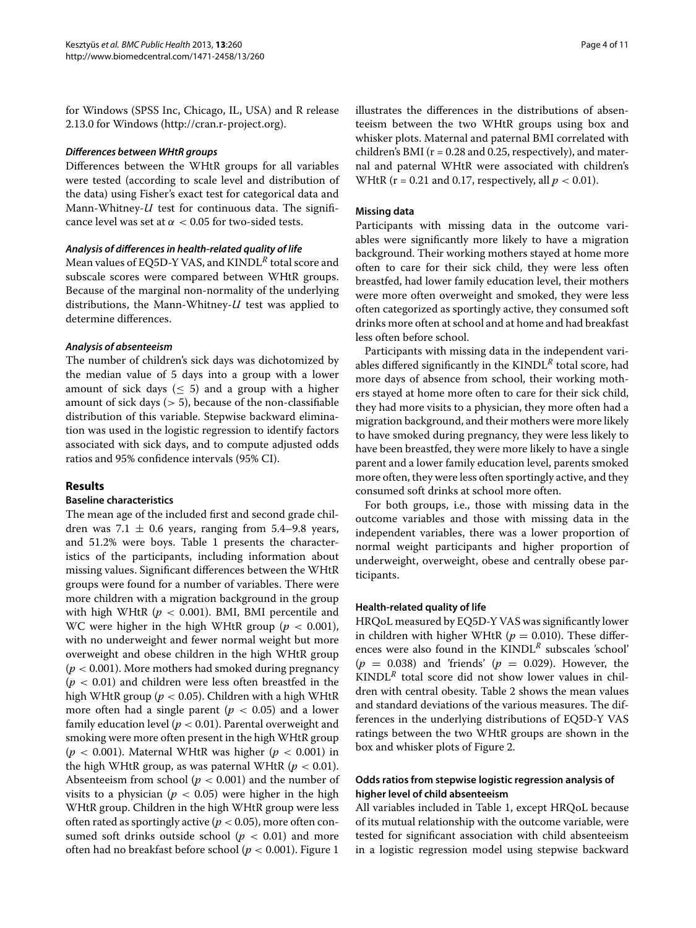for Windows (SPSS Inc, Chicago, IL, USA) and R release 2.13.0 for Windows [\(http://cran.r-project.org\)](http://cran.r-project.org).

#### *Differences between WHtR groups*

Differences between the WHtR groups for all variables were tested (according to scale level and distribution of the data) using Fisher's exact test for categorical data and Mann-Whitney-*U* test for continuous data. The significance level was set at *α <* 0.05 for two-sided tests.

#### *Analysis of differences in health-related quality of life*

Mean values of EQ5D-Y VAS, and KINDL*<sup>R</sup>* total score and subscale scores were compared between WHtR groups. Because of the marginal non-normality of the underlying distributions, the Mann-Whitney-*U* test was applied to determine differences.

#### *Analysis of absenteeism*

The number of children's sick days was dichotomized by the median value of 5 days into a group with a lower amount of sick days ( $\leq$  5) and a group with a higher amount of sick days (*>* 5), because of the non-classifiable distribution of this variable. Stepwise backward elimination was used in the logistic regression to identify factors associated with sick days, and to compute adjusted odds ratios and 95% confidence intervals (95% CI).

## **Results**

#### **Baseline characteristics**

The mean age of the included first and second grade children was  $7.1 \pm 0.6$  years, ranging from 5.4–9.8 years, and 51.2% were boys. Table [1](#page-4-0) presents the characteristics of the participants, including information about missing values. Significant differences between the WHtR groups were found for a number of variables. There were more children with a migration background in the group with high WHtR (*p <* 0.001). BMI, BMI percentile and WC were higher in the high WHtR group (*p <* 0.001), with no underweight and fewer normal weight but more overweight and obese children in the high WHtR group (*p <* 0.001). More mothers had smoked during pregnancy (*p <* 0.01) and children were less often breastfed in the high WHtR group (*p <* 0.05). Children with a high WHtR more often had a single parent ( $p < 0.05$ ) and a lower family education level (*p <* 0.01). Parental overweight and smoking were more often present in the high WHtR group ( $p < 0.001$ ). Maternal WHtR was higher ( $p < 0.001$ ) in the high WHtR group, as was paternal WHtR  $(p < 0.01)$ . Absenteeism from school ( $p < 0.001$ ) and the number of visits to a physician ( $p < 0.05$ ) were higher in the high WHtR group. Children in the high WHtR group were less often rated as sportingly active ( $p < 0.05$ ), more often consumed soft drinks outside school ( $p < 0.01$ ) and more often had no breakfast before school (*p <* 0.001). Figure [1](#page-5-0)

illustrates the differences in the distributions of absenteeism between the two WHtR groups using box and whisker plots. Maternal and paternal BMI correlated with children's BMI ( $r = 0.28$  and 0.25, respectively), and maternal and paternal WHtR were associated with children's WHtR ( $r = 0.21$  and 0.17, respectively, all  $p < 0.01$ ).

#### **Missing data**

Participants with missing data in the outcome variables were significantly more likely to have a migration background. Their working mothers stayed at home more often to care for their sick child, they were less often breastfed, had lower family education level, their mothers were more often overweight and smoked, they were less often categorized as sportingly active, they consumed soft drinks more often at school and at home and had breakfast less often before school.

Participants with missing data in the independent variables differed significantly in the KINDL*<sup>R</sup>* total score, had more days of absence from school, their working mothers stayed at home more often to care for their sick child, they had more visits to a physician, they more often had a migration background, and their mothers were more likely to have smoked during pregnancy, they were less likely to have been breastfed, they were more likely to have a single parent and a lower family education level, parents smoked more often, they were less often sportingly active, and they consumed soft drinks at school more often.

For both groups, i.e., those with missing data in the outcome variables and those with missing data in the independent variables, there was a lower proportion of normal weight participants and higher proportion of underweight, overweight, obese and centrally obese participants.

#### **Health-related quality of life**

HRQoL measured by EQ5D-Y VAS was significantly lower in children with higher WHtR ( $p = 0.010$ ). These differences were also found in the KINDL*<sup>R</sup>* subscales 'school'  $(p = 0.038)$  and 'friends'  $(p = 0.029)$ . However, the KINDL*<sup>R</sup>* total score did not show lower values in children with central obesity. Table [2](#page-6-0) shows the mean values and standard deviations of the various measures. The differences in the underlying distributions of EQ5D-Y VAS ratings between the two WHtR groups are shown in the box and whisker plots of Figure [2.](#page-6-1)

## **Odds ratios from stepwise logistic regression analysis of higher level of child absenteeism**

All variables included in Table [1,](#page-4-0) except HRQoL because of its mutual relationship with the outcome variable, were tested for significant association with child absenteeism in a logistic regression model using stepwise backward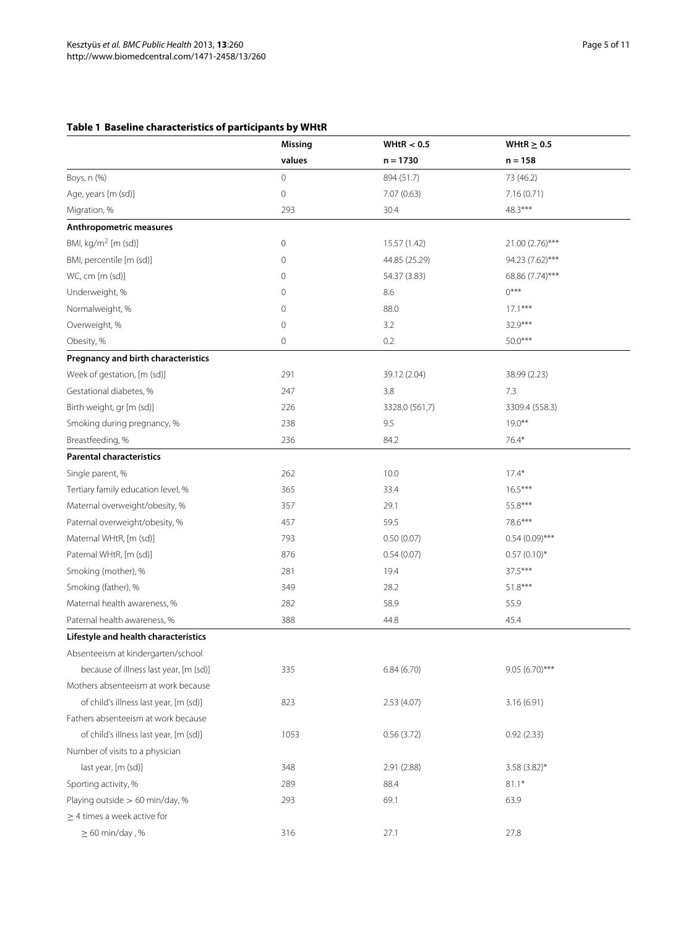## **Table 1 Baseline characteristics of participants by WHtR**

<span id="page-4-0"></span>

|                                        | <b>Missing</b> | WHtR $< 0.5$   | WHtR $\geq$ 0.5  |  |
|----------------------------------------|----------------|----------------|------------------|--|
|                                        | values         | $n = 1730$     | $n = 158$        |  |
| Boys, n (%)                            | 0              | 894 (51.7)     | 73 (46.2)        |  |
| Age, years [m (sd)]                    | $\mathbf 0$    | 7.07 (0.63)    | 7.16(0.71)       |  |
| Migration, %                           | 293            | 30.4           | 48.3***          |  |
| Anthropometric measures                |                |                |                  |  |
| BMI, $kg/m2$ [m (sd)]                  | 0              | 15.57 (1.42)   | 21.00 (2.76)***  |  |
| BMI, percentile [m (sd)]               | 0              | 44.85 (25.29)  | 94.23 (7.62)***  |  |
| WC, cm [m (sd)]                        | 0              | 54.37 (3.83)   | 68.86 (7.74)***  |  |
| Underweight, %                         | 0              | 8.6            | $()***$          |  |
| Normalweight, %                        | 0              | 88.0           | $17.1***$        |  |
| Overweight, %                          | 0              | 3.2            | 32.9***          |  |
| Obesity, %                             | 0              | 0.2            | $50.0***$        |  |
| Pregnancy and birth characteristics    |                |                |                  |  |
| Week of gestation, [m (sd)]            | 291            | 39.12 (2.04)   | 38.99 (2.23)     |  |
| Gestational diabetes, %                | 247            | 3.8            | 7.3              |  |
| Birth weight, gr [m (sd)]              | 226            | 3328.0 (561,7) | 3309.4 (558.3)   |  |
| Smoking during pregnancy, %            | 238            | 9.5            | $19.0***$        |  |
| Breastfeeding, %                       | 236            | 84.2           | $76.4*$          |  |
| <b>Parental characteristics</b>        |                |                |                  |  |
| Single parent, %                       | 262            | 10.0           | $17.4*$          |  |
| Tertiary family education level, %     | 365            | 33.4           | $16.5***$        |  |
| Maternal overweight/obesity, %         | 357            | 29.1           | 55.8***          |  |
| Paternal overweight/obesity, %         | 457            | 59.5           | 78.6***          |  |
| Maternal WHtR, [m (sd)]                | 793            | 0.50(0.07)     | $0.54(0.09)$ *** |  |
| Paternal WHtR, [m (sd)]                | 876            | 0.54(0.07)     | $0.57(0.10)*$    |  |
| Smoking (mother), %                    | 281            | 19.4           | 37.5***          |  |
| Smoking (father), %                    | 349            | 28.2           | $51.8***$        |  |
| Maternal health awareness, %           | 282            | 58.9           | 55.9             |  |
| Paternal health awareness, %           | 388            | 44.8           | 45.4             |  |
| Lifestyle and health characteristics   |                |                |                  |  |
| Absenteeism at kindergarten/school     |                |                |                  |  |
| because of illness last year, [m (sd)] | 335            | 6.84(6.70)     | 9.05 (6.70)***   |  |
| Mothers absenteeism at work because    |                |                |                  |  |
| of child's illness last year, [m (sd)] | 823            | 2.53(4.07)     | 3.16(6.91)       |  |
| Fathers absenteeism at work because    |                |                |                  |  |
| of child's illness last year, [m (sd)] | 1053           | 0.56(3.72)     | 0.92(2.33)       |  |
| Number of visits to a physician        |                |                |                  |  |
| last year, [m (sd)]                    | 348            | 2.91 (2.88)    | 3.58 (3.82)*     |  |
| Sporting activity, %                   | 289            | 88.4           | $81.1*$          |  |
| Playing outside > 60 min/day, %        | 293            | 69.1           | 63.9             |  |
| $\geq$ 4 times a week active for       |                |                |                  |  |
| $\geq 60$ min/day, %                   | 316            | 27.1           | 27.8             |  |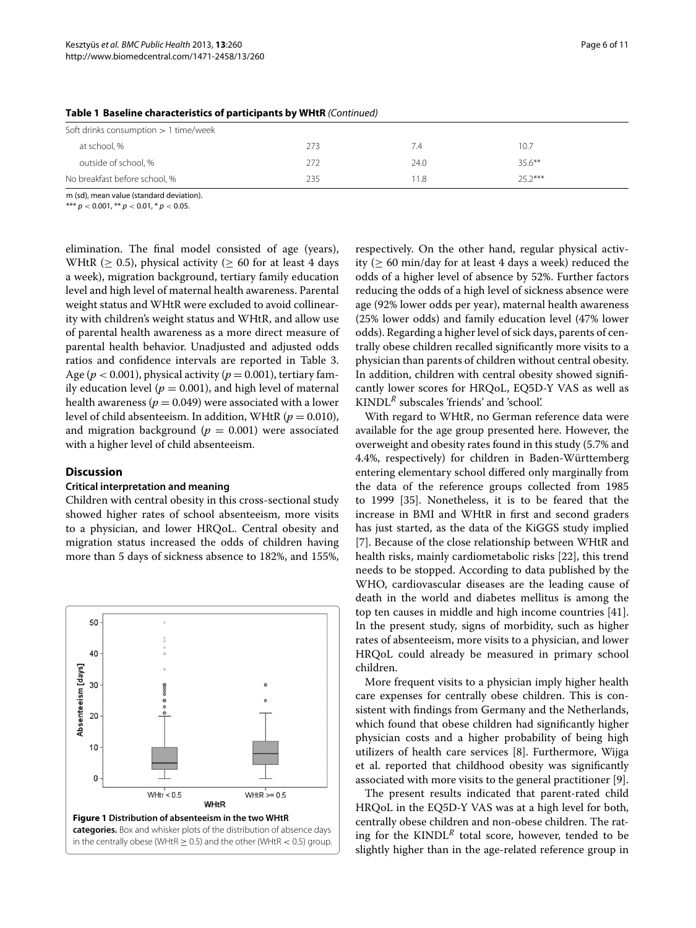| Soft drinks consumption $> 1$ time/week |     |      |           |  |
|-----------------------------------------|-----|------|-----------|--|
| at school, %                            | 273 | 7.4  | 10.7      |  |
| outside of school, %                    | 272 | 24.0 | $35.6***$ |  |
| No breakfast before school, %           | 235 | 1.8  | $25.2***$ |  |

#### **Table 1 Baseline characteristics of participants by WHtR** *(Continued)*

m (sd), mean value (standard deviation).

\*\*\* *p <* 0.001, \*\* *p <* 0.01, \* *p <* 0.05.

elimination. The final model consisted of age (years), WHtR ( $\geq$  0.5), physical activity ( $\geq$  60 for at least 4 days a week), migration background, tertiary family education level and high level of maternal health awareness. Parental weight status and WHtR were excluded to avoid collinearity with children's weight status and WHtR, and allow use of parental health awareness as a more direct measure of parental health behavior. Unadjusted and adjusted odds ratios and confidence intervals are reported in Table [3.](#page-8-9) Age ( $p < 0.001$ ), physical activity ( $p = 0.001$ ), tertiary family education level ( $p = 0.001$ ), and high level of maternal health awareness ( $p = 0.049$ ) were associated with a lower level of child absenteeism. In addition, WHtR (*p* = 0.010), and migration background  $(p = 0.001)$  were associated with a higher level of child absenteeism.

## **Discussion**

## **Critical interpretation and meaning**

Children with central obesity in this cross-sectional study showed higher rates of school absenteeism, more visits to a physician, and lower HRQoL. Central obesity and migration status increased the odds of children having more than 5 days of sickness absence to 182%, and 155%,

<span id="page-5-0"></span>

respectively. On the other hand, regular physical activity ( $\geq 60$  min/day for at least 4 days a week) reduced the odds of a higher level of absence by 52%. Further factors reducing the odds of a high level of sickness absence were age (92% lower odds per year), maternal health awareness (25% lower odds) and family education level (47% lower odds). Regarding a higher level of sick days, parents of centrally obese children recalled significantly more visits to a physician than parents of children without central obesity. In addition, children with central obesity showed significantly lower scores for HRQoL, EQ5D-Y VAS as well as KINDL*<sup>R</sup>* subscales 'friends' and 'school'.

With regard to WHtR, no German reference data were available for the age group presented here. However, the overweight and obesity rates found in this study (5.7% and 4.4%, respectively) for children in Baden-Württemberg entering elementary school differed only marginally from the data of the reference groups collected from 1985 to 1999 [\[35\]](#page-9-22). Nonetheless, it is to be feared that the increase in BMI and WHtR in first and second graders has just started, as the data of the KiGGS study implied [\[7\]](#page-8-3). Because of the close relationship between WHtR and health risks, mainly cardiometabolic risks [\[22\]](#page-9-11), this trend needs to be stopped. According to data published by the WHO, cardiovascular diseases are the leading cause of death in the world and diabetes mellitus is among the top ten causes in middle and high income countries [\[41\]](#page-9-28). In the present study, signs of morbidity, such as higher rates of absenteeism, more visits to a physician, and lower HRQoL could already be measured in primary school children.

More frequent visits to a physician imply higher health care expenses for centrally obese children. This is consistent with findings from Germany and the Netherlands, which found that obese children had significantly higher physician costs and a higher probability of being high utilizers of health care services [\[8\]](#page-8-7). Furthermore, Wijga et al. reported that childhood obesity was significantly associated with more visits to the general practitioner [\[9\]](#page-8-8).

The present results indicated that parent-rated child HRQoL in the EQ5D-Y VAS was at a high level for both, centrally obese children and non-obese children. The rating for the KINDL*<sup>R</sup>* total score, however, tended to be slightly higher than in the age-related reference group in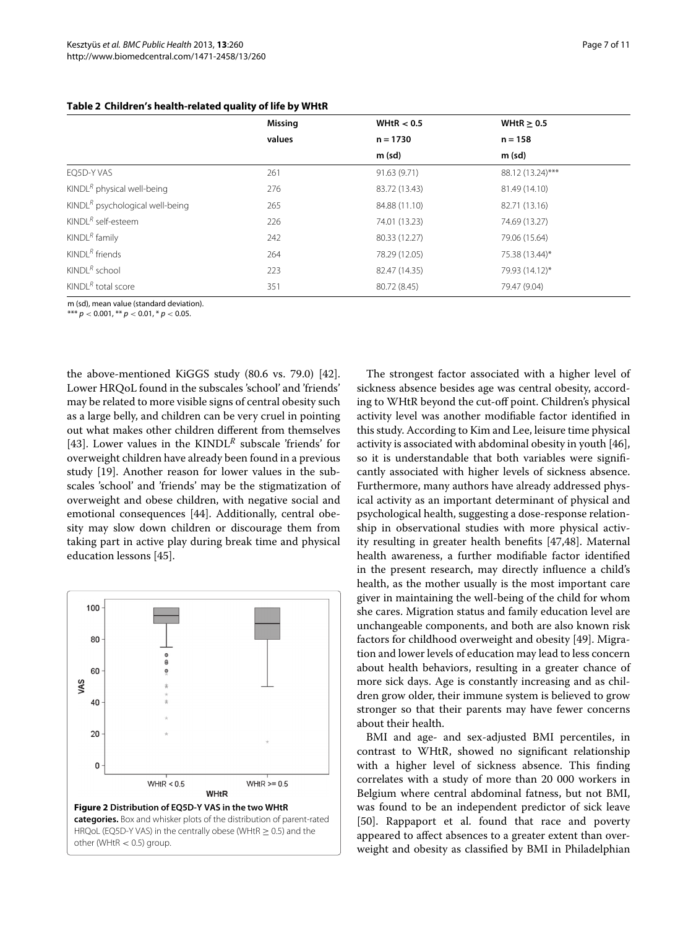<span id="page-6-0"></span>

|                                        | <b>Missing</b> | WHtR $< 0.5$  | WHtR $\geq$ 0.5  |
|----------------------------------------|----------------|---------------|------------------|
|                                        | values         | $n = 1730$    | $n = 158$        |
|                                        |                | $m$ (sd)      | $m$ (sd)         |
| EQ5D-Y VAS                             | 261            | 91.63 (9.71)  | 88.12 (13.24)*** |
| KINDL <sup>R</sup> physical well-being | 276            | 83.72 (13.43) | 81.49 (14.10)    |
| $KINDLR$ psychological well-being      | 265            | 84.88 (11.10) | 82.71 (13.16)    |
| KINDL <sup>R</sup> self-esteem         | 226            | 74.01 (13.23) | 74.69 (13.27)    |
| KINDL $R$ family                       | 242            | 80.33 (12.27) | 79.06 (15.64)    |
| KINDL $^R$ friends                     | 264            | 78.29 (12.05) | 75.38 (13.44)*   |
| KINDL $^R$ school                      | 223            | 82.47 (14.35) | 79.93 (14.12)*   |
| KINDL <sup>R</sup> total score         | 351            | 80.72 (8.45)  | 79.47 (9.04)     |

## **Table 2 Children's health-related quality of life by WHtR**

m (sd), mean value (standard deviation).

\*\*\* *p <* 0.001, \*\* *p <* 0.01, \* *p <* 0.05.

the above-mentioned KiGGS study (80.6 vs. 79.0) [\[42\]](#page-10-0). Lower HRQoL found in the subscales 'school' and 'friends' may be related to more visible signs of central obesity such as a large belly, and children can be very cruel in pointing out what makes other children different from themselves [\[43\]](#page-10-1). Lower values in the KINDL<sup>R</sup> subscale 'friends' for overweight children have already been found in a previous study [\[19\]](#page-9-8). Another reason for lower values in the subscales 'school' and 'friends' may be the stigmatization of overweight and obese children, with negative social and emotional consequences [\[44\]](#page-10-2). Additionally, central obesity may slow down children or discourage them from taking part in active play during break time and physical education lessons [\[45\]](#page-10-3).

<span id="page-6-1"></span>

The strongest factor associated with a higher level of sickness absence besides age was central obesity, according to WHtR beyond the cut-off point. Children's physical activity level was another modifiable factor identified in this study. According to Kim and Lee, leisure time physical activity is associated with abdominal obesity in youth [\[46\]](#page-10-4), so it is understandable that both variables were significantly associated with higher levels of sickness absence. Furthermore, many authors have already addressed physical activity as an important determinant of physical and psychological health, suggesting a dose-response relationship in observational studies with more physical activity resulting in greater health benefits [\[47,](#page-10-5)[48\]](#page-10-6). Maternal health awareness, a further modifiable factor identified in the present research, may directly influence a child's health, as the mother usually is the most important care giver in maintaining the well-being of the child for whom she cares. Migration status and family education level are unchangeable components, and both are also known risk factors for childhood overweight and obesity [\[49\]](#page-10-7). Migration and lower levels of education may lead to less concern about health behaviors, resulting in a greater chance of more sick days. Age is constantly increasing and as children grow older, their immune system is believed to grow stronger so that their parents may have fewer concerns about their health.

BMI and age- and sex-adjusted BMI percentiles, in contrast to WHtR, showed no significant relationship with a higher level of sickness absence. This finding correlates with a study of more than 20 000 workers in Belgium where central abdominal fatness, but not BMI, was found to be an independent predictor of sick leave [\[50\]](#page-10-8). Rappaport et al. found that race and poverty appeared to affect absences to a greater extent than overweight and obesity as classified by BMI in Philadelphian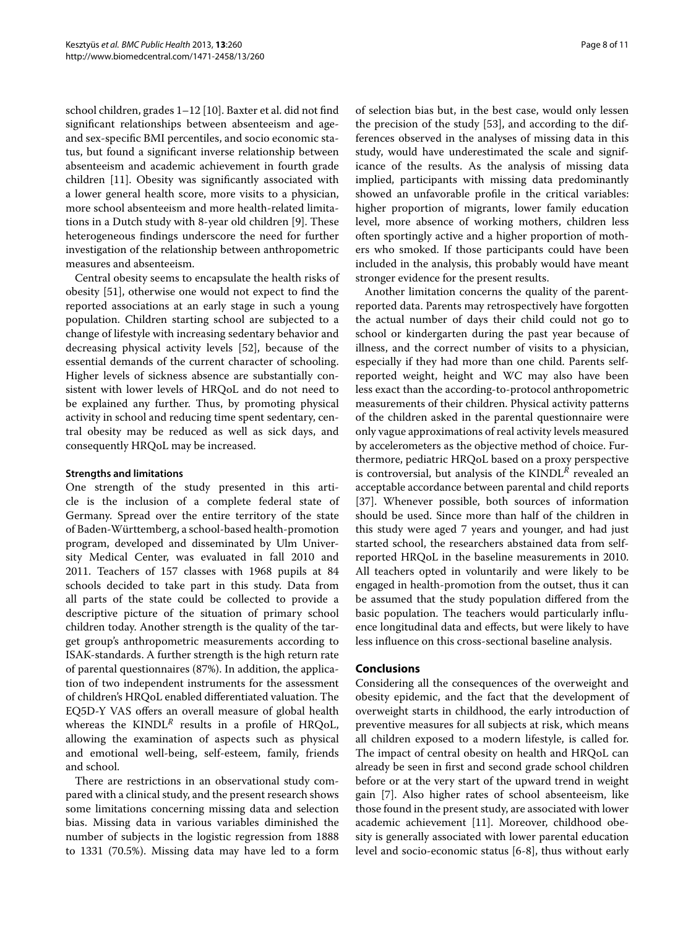school children, grades 1–12 [\[10\]](#page-9-0). Baxter et al. did not find significant relationships between absenteeism and ageand sex-specific BMI percentiles, and socio economic status, but found a significant inverse relationship between absenteeism and academic achievement in fourth grade children [\[11\]](#page-9-1). Obesity was significantly associated with a lower general health score, more visits to a physician, more school absenteeism and more health-related limitations in a Dutch study with 8-year old children [\[9\]](#page-8-8). These heterogeneous findings underscore the need for further investigation of the relationship between anthropometric measures and absenteeism.

Central obesity seems to encapsulate the health risks of obesity [\[51\]](#page-10-9), otherwise one would not expect to find the reported associations at an early stage in such a young population. Children starting school are subjected to a change of lifestyle with increasing sedentary behavior and decreasing physical activity levels [\[52\]](#page-10-10), because of the essential demands of the current character of schooling. Higher levels of sickness absence are substantially consistent with lower levels of HRQoL and do not need to be explained any further. Thus, by promoting physical activity in school and reducing time spent sedentary, central obesity may be reduced as well as sick days, and consequently HRQoL may be increased.

## **Strengths and limitations**

One strength of the study presented in this article is the inclusion of a complete federal state of Germany. Spread over the entire territory of the state of Baden-Wurttemberg, a school-based health-promotion ¨ program, developed and disseminated by Ulm University Medical Center, was evaluated in fall 2010 and 2011. Teachers of 157 classes with 1968 pupils at 84 schools decided to take part in this study. Data from all parts of the state could be collected to provide a descriptive picture of the situation of primary school children today. Another strength is the quality of the target group's anthropometric measurements according to ISAK-standards. A further strength is the high return rate of parental questionnaires (87%). In addition, the application of two independent instruments for the assessment of children's HRQoL enabled differentiated valuation. The EQ5D-Y VAS offers an overall measure of global health whereas the  $KINDL^R$  results in a profile of HRQoL, allowing the examination of aspects such as physical and emotional well-being, self-esteem, family, friends and school.

There are restrictions in an observational study compared with a clinical study, and the present research shows some limitations concerning missing data and selection bias. Missing data in various variables diminished the number of subjects in the logistic regression from 1888 to 1331 (70.5%). Missing data may have led to a form of selection bias but, in the best case, would only lessen the precision of the study [\[53\]](#page-10-11), and according to the differences observed in the analyses of missing data in this study, would have underestimated the scale and significance of the results. As the analysis of missing data implied, participants with missing data predominantly showed an unfavorable profile in the critical variables: higher proportion of migrants, lower family education level, more absence of working mothers, children less often sportingly active and a higher proportion of mothers who smoked. If those participants could have been included in the analysis, this probably would have meant stronger evidence for the present results.

Another limitation concerns the quality of the parentreported data. Parents may retrospectively have forgotten the actual number of days their child could not go to school or kindergarten during the past year because of illness, and the correct number of visits to a physician, especially if they had more than one child. Parents selfreported weight, height and WC may also have been less exact than the according-to-protocol anthropometric measurements of their children. Physical activity patterns of the children asked in the parental questionnaire were only vague approximations of real activity levels measured by accelerometers as the objective method of choice. Furthermore, pediatric HRQoL based on a proxy perspective is controversial, but analysis of the KINDL*<sup>R</sup>* revealed an acceptable accordance between parental and child reports [\[37\]](#page-9-24). Whenever possible, both sources of information should be used. Since more than half of the children in this study were aged 7 years and younger, and had just started school, the researchers abstained data from selfreported HRQoL in the baseline measurements in 2010. All teachers opted in voluntarily and were likely to be engaged in health-promotion from the outset, thus it can be assumed that the study population differed from the basic population. The teachers would particularly influence longitudinal data and effects, but were likely to have less influence on this cross-sectional baseline analysis.

## **Conclusions**

Considering all the consequences of the overweight and obesity epidemic, and the fact that the development of overweight starts in childhood, the early introduction of preventive measures for all subjects at risk, which means all children exposed to a modern lifestyle, is called for. The impact of central obesity on health and HRQoL can already be seen in first and second grade school children before or at the very start of the upward trend in weight gain [\[7\]](#page-8-3). Also higher rates of school absenteeism, like those found in the present study, are associated with lower academic achievement [\[11\]](#page-9-1). Moreover, childhood obesity is generally associated with lower parental education level and socio-economic status [\[6](#page-8-2)[-8\]](#page-8-7), thus without early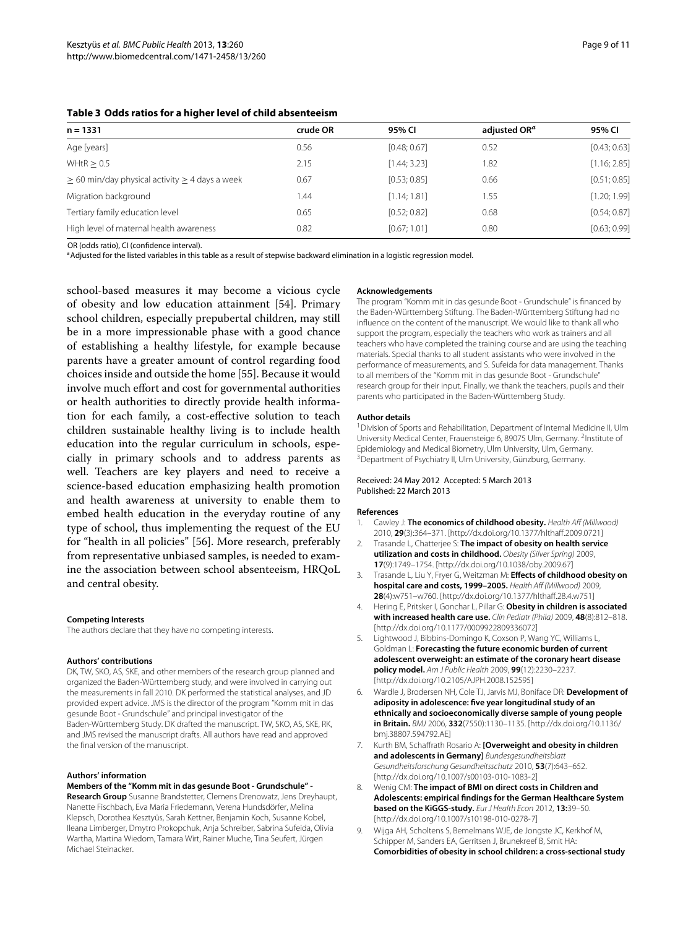<span id="page-8-9"></span>

| Table 3 Odds ratios for a higher level of child absenteeism |  |
|-------------------------------------------------------------|--|
|-------------------------------------------------------------|--|

| $n = 1331$                                               | crude OR | 95% CI       | adjusted OR <sup>a</sup> | 95% CI       |
|----------------------------------------------------------|----------|--------------|--------------------------|--------------|
| Age [years]                                              | 0.56     | [0.48; 0.67] | 0.52                     | [0.43; 0.63] |
| WHtR $> 0.5$                                             | 2.15     | [1.44; 3.23] | 1.82                     | [1.16; 2.85] |
| $\geq$ 60 min/day physical activity $\geq$ 4 days a week | 0.67     | [0.53; 0.85] | 0.66                     | [0.51; 0.85] |
| Migration background                                     | .44      | [1.14; 1.81] | 1.55                     | [1.20; 1.99] |
| Tertiary family education level                          | 0.65     | [0.52; 0.82] | 0.68                     | [0.54; 0.87] |
| High level of maternal health awareness                  | 0.82     | [0.67; 1.01] | 0.80                     | [0.63; 0.99] |

OR (odds ratio), CI (confidence interval).

aAdjusted for the listed variables in this table as a result of stepwise backward elimination in a logistic regression model.

school-based measures it may become a vicious cycle of obesity and low education attainment [\[54\]](#page-10-12). Primary school children, especially prepubertal children, may still be in a more impressionable phase with a good chance of establishing a healthy lifestyle, for example because parents have a greater amount of control regarding food choices inside and outside the home [\[55\]](#page-10-13). Because it would involve much effort and cost for governmental authorities or health authorities to directly provide health information for each family, a cost-effective solution to teach children sustainable healthy living is to include health education into the regular curriculum in schools, especially in primary schools and to address parents as well. Teachers are key players and need to receive a science-based education emphasizing health promotion and health awareness at university to enable them to embed health education in the everyday routine of any type of school, thus implementing the request of the EU for "health in all policies" [\[56\]](#page-10-14). More research, preferably from representative unbiased samples, is needed to examine the association between school absenteeism, HRQoL and central obesity.

#### **Competing Interests**

The authors declare that they have no competing interests.

#### **Authors' contributions**

DK, TW, SKO, AS, SKE, and other members of the research group planned and organized the Baden-Wurttemberg study, and were involved in carrying out ¨ the measurements in fall 2010. DK performed the statistical analyses, and JD provided expert advice. JMS is the director of the program "Komm mit in das gesunde Boot - Grundschule" and principal investigator of the Baden-Württemberg Study. DK drafted the manuscript. TW, SKO, AS, SKE, RK, and JMS revised the manuscript drafts. All authors have read and approved the final version of the manuscript.

#### **Authors' information**

#### **Members of the "Komm mit in das gesunde Boot - Grundschule" -**

**Research Group** Susanne Brandstetter, Clemens Drenowatz, Jens Dreyhaupt, Nanette Fischbach, Eva Maria Friedemann, Verena Hundsdörfer, Melina Klepsch, Dorothea Kesztyüs, Sarah Kettner, Benjamin Koch, Susanne Kobel, Ileana Limberger, Dmytro Prokopchuk, Anja Schreiber, Sabrina Sufeida, Olivia Wartha, Martina Wiedom, Tamara Wirt, Rainer Muche, Tina Seufert, Jürgen Michael Steinacker.

#### **Acknowledgements**

The program "Komm mit in das gesunde Boot - Grundschule" is financed by the Baden-Württemberg Stiftung. The Baden-Württemberg Stiftung had no influence on the content of the manuscript. We would like to thank all who support the program, especially the teachers who work as trainers and all teachers who have completed the training course and are using the teaching materials. Special thanks to all student assistants who were involved in the performance of measurements, and S. Sufeida for data management. Thanks to all members of the "Komm mit in das gesunde Boot - Grundschule" research group for their input. Finally, we thank the teachers, pupils and their parents who participated in the Baden-Württemberg Study.

#### **Author details**

<sup>1</sup> Division of Sports and Rehabilitation, Department of Internal Medicine II, Ulm University Medical Center, Frauensteige 6, 89075 Ulm, Germany. <sup>2</sup>Institute of Epidemiology and Medical Biometry, Ulm University, Ulm, Germany. <sup>3</sup> Department of Psychiatry II, Ulm University, Günzburg, Germany.

#### Received: 24 May 2012 Accepted: 5 March 2013 Published: 22 March 2013

#### **References**

- <span id="page-8-0"></span>1. Cawley J: **The economics of childhood obesity.** Health Aff (Millwood) 2010, **29**(3):364–371. [\[http://dx.doi.org/10.1377/hlthaff.2009.0721\]](http://dx.doi.org/10.1377/hlthaff.2009.0721)
- <span id="page-8-4"></span>2. Trasande L, Chatterjee S: **The impact of obesity on health service utilization and costs in childhood.** Obesity (Silver Spring) 2009, **17**(9):1749–1754. [\[http://dx.doi.org/10.1038/oby.2009.67\]](http://dx.doi.org/10.1038/oby.2009.67)
- <span id="page-8-5"></span>3. Trasande L, Liu Y, Fryer G, Weitzman M: **Effects of childhood obesity on hospital care and costs, 1999–2005.** Health Aff (Millwood) 2009, **28**(4):w751–w760. [\[http://dx.doi.org/10.1377/hlthaff.28.4.w751\]](http://dx.doi.org/10.1377/hlthaff.28.4.w751)
- <span id="page-8-6"></span>4. Hering E, Pritsker I, Gonchar L, Pillar G: **Obesity in children is associated with increased health care use.** Clin Pediatr (Phila) 2009, **48**(8):812–818. [\[http://dx.doi.org/10.1177/0009922809336072\]](http://dx.doi.org/10.1177/0009922809336072)
- <span id="page-8-1"></span>5. Lightwood J, Bibbins-Domingo K, Coxson P, Wang YC, Williams L, Goldman L: **Forecasting the future economic burden of current adolescent overweight: an estimate of the coronary heart disease policy model.** Am J Public Health 2009, **99**(12):2230–2237. [\[http://dx.doi.org/10.2105/AJPH.2008.152595\]](http://dx.doi.org/10.2105/AJPH.2008.152595)
- <span id="page-8-2"></span>6. Wardle J, Brodersen NH, Cole TJ, Jarvis MJ, Boniface DR: **Development of adiposity in adolescence: five year longitudinal study of an ethnically and socioeconomically diverse sample of young people in Britain.** BMJ 2006, **332**(7550):1130–1135. [\[http://dx.doi.org/10.1136/](http://dx.doi.org/10.1136/bmj.38807.594792.AE) [bmj.38807.594792.AE\]](http://dx.doi.org/10.1136/bmj.38807.594792.AE)
- <span id="page-8-3"></span>7. Kurth BM, Schaffrath Rosario A: **[Overweight and obesity in children and adolescents in Germany]** Bundesgesundheitsblatt Gesundheitsforschung Gesundheitsschutz 2010, **53**(7):643–652. [\[http://dx.doi.org/10.1007/s00103-010-1083-2\]](http://dx.doi.org/10.1007/s00103-010-1083-2)
- <span id="page-8-7"></span>8. Wenig CM: **The impact of BMI on direct costs in Children and Adolescents: empirical findings for the German Healthcare System based on the KiGGS-study.** Eur J Health Econ 2012, **13:**39–50. [\[http://dx.doi.org/10.1007/s10198-010-0278-7\]](http://dx.doi.org/10.1007/s10198-010-0278-7)
- <span id="page-8-8"></span>9. Wijga AH, Scholtens S, Bemelmans WJE, de Jongste JC, Kerkhof M, Schipper M, Sanders EA, Gerritsen J, Brunekreef B, Smit HA: **Comorbidities of obesity in school children: a cross-sectional study**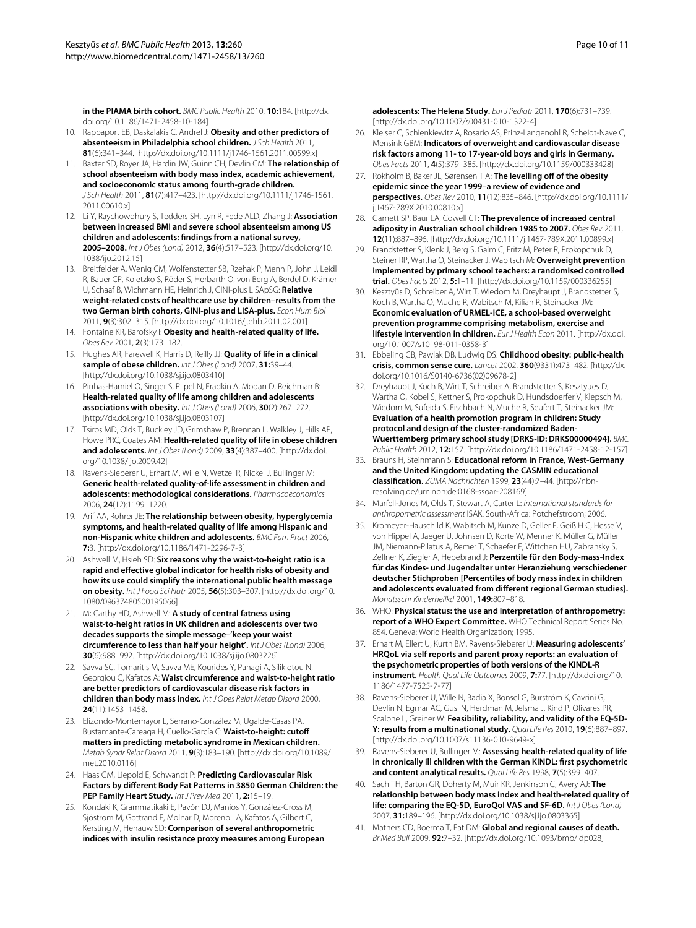**in the PIAMA birth cohort.** BMC Public Health 2010, **10:**184. [\[http://dx.](http://dx.doi.org/10.1186/1471-2458-10-184) [doi.org/10.1186/1471-2458-10-184\]](http://dx.doi.org/10.1186/1471-2458-10-184)

- <span id="page-9-0"></span>10. Rappaport EB, Daskalakis C, Andrel J: **Obesity and other predictors of absenteeism in Philadelphia school children.** J Sch Health 2011, **81**(6):341–344. [\[http://dx.doi.org/10.1111/j1746-1561.2011.00599.x\]](http://dx.doi.org/10.1111/j1746-1561.2011.00599.x)
- <span id="page-9-1"></span>11. Baxter SD, Royer JA, Hardin JW, Guinn CH, Devlin CM: **The relationship of school absenteeism with body mass index, academic achievement, and socioeconomic status among fourth-grade children.** J Sch Health 2011, **81**(7):417–423. [\[http://dx.doi.org/10.1111/j1746-1561.](http://dx.doi.org/10.1111/j1746-1561.2011.00610.x) [2011.00610.x\]](http://dx.doi.org/10.1111/j1746-1561.2011.00610.x)
- <span id="page-9-2"></span>12. Li Y, Raychowdhury S, Tedders SH, Lyn R, Fede ALD, Zhang J: **Association between increased BMI and severe school absenteeism among US children and adolescents: findings from a national survey, 2005–2008.** Int J Obes (Lond) 2012, **36**(4):517–523. [\[http://dx.doi.org/10.](http://dx.doi.org/10.1038/ijo.2012.15) [1038/ijo.2012.15\]](http://dx.doi.org/10.1038/ijo.2012.15)
- <span id="page-9-3"></span>13. Breitfelder A, Wenig CM, Wolfenstetter SB, Rzehak P, Menn P, John J, Leidl R, Bauer CP, Koletzko S, Röder S, Herbarth O, von Berg A, Berdel D, Krämer U, Schaaf B, Wichmann HE, Heinrich J, GINI-plus LISApSG: **Relative weight-related costs of healthcare use by children–results from the two German birth cohorts, GINI-plus and LISA-plus.** Econ Hum Biol 2011, **9**(3):302–315. [\[http://dx.doi.org/10.1016/j.ehb.2011.02.001\]](http://dx.doi.org/10.1016/j.ehb.2011.02.001)
- <span id="page-9-4"></span>14. Fontaine KR, Barofsky I: **Obesity and health-related quality of life.** Obes Rev 2001, **2**(3):173–182.
- <span id="page-9-5"></span>15. Hughes AR, Farewell K, Harris D, Reilly JJ: **Quality of life in a clinical sample of obese children.** Int J Obes (Lond) 2007, **31:**39–44. [\[http://dx.doi.org/10.1038/sj.ijo.0803410\]](http://dx.doi.org/10.1038/sj.ijo.0803410)
- 16. Pinhas-Hamiel O, Singer S, Pilpel N, Fradkin A, Modan D, Reichman B: **Health-related quality of life among children and adolescents associations with obesity.** Int J Obes (Lond) 2006, **30**(2):267–272. [\[http://dx.doi.org/10.1038/sj.ijo.0803107\]](http://dx.doi.org/10.1038/sj.ijo.0803107)
- <span id="page-9-6"></span>17. Tsiros MD, Olds T, Buckley JD, Grimshaw P, Brennan L, Walkley J, Hills AP, Howe PRC, Coates AM: **Health-related quality of life in obese children and adolescents.** Int J Obes (Lond) 2009, **33**(4):387–400. [\[http://dx.doi.](http://dx.doi.org/10.1038/ijo.2009.42) [org/10.1038/ijo.2009.42\]](http://dx.doi.org/10.1038/ijo.2009.42)
- <span id="page-9-7"></span>18. Ravens-Sieberer U, Erhart M, Wille N, Wetzel R, Nickel J, Bullinger M: **Generic health-related quality-of-life assessment in children and adolescents: methodological considerations.** Pharmacoeconomics 2006, **24**(12):1199–1220.
- <span id="page-9-8"></span>19. Arif AA, Rohrer JE: **The relationship between obesity, hyperglycemia symptoms, and health-related quality of life among Hispanic and non-Hispanic white children and adolescents.** BMC Fam Pract 2006, **7:**3. [\[http://dx.doi.org/10.1186/1471-2296-7-3\]](http://dx.doi.org/10.1186/1471-2296-7-3)
- <span id="page-9-9"></span>20. Ashwell M, Hsieh SD: **Six reasons why the waist-to-height ratio is a rapid and effective global indicator for health risks of obesity and how its use could simplify the international public health message on obesity.** Int J Food Sci Nutr 2005, **56**(5):303–307. [\[http://dx.doi.org/10.](http://dx.doi.org/10.1080/09637480500195066) [1080/09637480500195066\]](http://dx.doi.org/10.1080/09637480500195066)
- <span id="page-9-10"></span>21. McCarthy HD, Ashwell M: **A study of central fatness using waist-to-height ratios in UK children and adolescents over two decades supports the simple message–'keep your waist circumference to less than half your height'.** Int J Obes (Lond) 2006, **30**(6):988–992. [\[http://dx.doi.org/10.1038/sj.ijo.0803226\]](http://dx.doi.org/10.1038/sj.ijo.0803226)
- <span id="page-9-11"></span>22. Savva SC, Tornaritis M, Savva ME, Kourides Y, Panagi A, Silikiotou N, Georgiou C, Kafatos A: **Waist circumference and waist-to-height ratio are better predictors of cardiovascular disease risk factors in children than body mass index.** Int J Obes Relat Metab Disord 2000, **24**(11):1453–1458.
- <span id="page-9-12"></span>23. Elizondo-Montemayor L, Serrano-González M, Ugalde-Casas PA, Bustamante-Careaga H, Cuello-García C: Waist-to-height: cutoff **matters in predicting metabolic syndrome in Mexican children.** Metab Syndr Relat Disord 2011, **9**(3):183–190. [\[http://dx.doi.org/10.1089/](http://dx.doi.org/10.1089/met.2010.0116) [met.2010.0116\]](http://dx.doi.org/10.1089/met.2010.0116)
- 24. Haas GM, Liepold E, Schwandt P: **Predicting Cardiovascular Risk Factors by different Body Fat Patterns in 3850 German Children: the PEP Family Heart Study.** Int J Prev Med 2011, **2:**15–19.
- 25. Kondaki K, Grammatikaki E, Pavón DJ, Manios Y, González-Gross M, Sjöstrom M, Gottrand F, Molnar D, Moreno LA, Kafatos A, Gilbert C, Kersting M, Henauw SD: **Comparison of several anthropometric indices with insulin resistance proxy measures among European**

**adolescents: The Helena Study.** Eur J Pediatr 2011, **170**(6):731–739. [\[http://dx.doi.org/10.1007/s00431-010-1322-4\]](http://dx.doi.org/10.1007/s00431-010-1322-4)

- <span id="page-9-13"></span>26. Kleiser C, Schienkiewitz A, Rosario AS, Prinz-Langenohl R, Scheidt-Nave C, Mensink GBM: **Indicators of overweight and cardiovascular disease risk factors among 11- to 17-year-old boys and girls in Germany.** Obes Facts 2011, **4**(5):379–385. [\[http://dx.doi.org/10.1159/000333428\]](http://dx.doi.org/10.1159/000333428)
- <span id="page-9-14"></span>27. Rokholm B, Baker JL, Sørensen TIA: **The levelling off of the obesity epidemic since the year 1999–a review of evidence and perspectives.** Obes Rev 2010, **11**(12):835–846. [\[http://dx.doi.org/10.1111/](http://dx.doi.org/10.1111/j.1467-789X.2010.00810.x) [j.1467-789X.2010.00810.x\]](http://dx.doi.org/10.1111/j.1467-789X.2010.00810.x)
- <span id="page-9-15"></span>28. Garnett SP, Baur LA, Cowell CT: **The prevalence of increased central adiposity in Australian school children 1985 to 2007.** Obes Rev 2011, **12**(11):887–896. [\[http://dx.doi.org/10.1111/j.1467-789X.2011.00899.x\]](http://dx.doi.org/10.1111/j.1467-789X.2011.00899.x)
- <span id="page-9-16"></span>29. Brandstetter S, Klenk J, Berg S, Galm C, Fritz M, Peter R, Prokopchuk D, Steiner RP, Wartha O, Steinacker J, Wabitsch M: **Overweight prevention implemented by primary school teachers: a randomised controlled trial.** Obes Facts 2012, **5:**1–11. [\[http://dx.doi.org/10.1159/000336255\]](http://dx.doi.org/10.1159/000336255)
- <span id="page-9-17"></span>30. Kesztyüs D, Schreiber A, Wirt T, Wiedom M, Dreyhaupt J, Brandstetter S, Koch B, Wartha O, Muche R, Wabitsch M, Kilian R, Steinacker JM: **Economic evaluation of URMEL-ICE, a school-based overweight prevention programme comprising metabolism, exercise and lifestyle intervention in children.** Eur J Health Econ 2011. [\[http://dx.doi.](http://dx.doi.org/10.1007/s10198-011-0358-3) [org/10.1007/s10198-011-0358-3\]](http://dx.doi.org/10.1007/s10198-011-0358-3)
- <span id="page-9-18"></span>31. Ebbeling CB, Pawlak DB, Ludwig DS: **Childhood obesity: public-health crisis, common sense cure.** Lancet 2002, **360**(9331):473–482. [\[http://dx.](http://dx.doi.org/10.1016/S0140-6736(02)09678-2) [doi.org/10.1016/S0140-6736\(02\)09678-2\]](http://dx.doi.org/10.1016/S0140-6736(02)09678-2)
- <span id="page-9-19"></span>32. Dreyhaupt J, Koch B, Wirt T, Schreiber A, Brandstetter S, Kesztyues D, Wartha O, Kobel S, Kettner S, Prokopchuk D, Hundsdoerfer V, Klepsch M, Wiedom M, Sufeida S, Fischbach N, Muche R, Seufert T, Steinacker JM: **Evaluation of a health promotion program in children: Study protocol and design of the cluster-randomized Baden-Wuerttemberg primary school study [DRKS-ID: DRKS00000494].** BMC Public Health 2012, **12:**157. [\[http://dx.doi.org/10.1186/1471-2458-12-157\]](http://dx.doi.org/10.1186/1471-2458-12-157)
- <span id="page-9-20"></span>33. Brauns H, Steinmann S: **Educational reform in France, West-Germany and the United Kingdom: updating the CASMIN educational classification.** ZUMA Nachrichten 1999, **23**(44):7–44. [\[http://nbn](http://nbn-resolving.de/urn:nbn:de:0168-ssoar-208169)[resolving.de/urn:nbn:de:0168-ssoar-208169\]](http://nbn-resolving.de/urn:nbn:de:0168-ssoar-208169)
- <span id="page-9-21"></span>34. Marfell-Jones M, Olds T, Stewart A, Carter L: International standards for anthropometric assessment ISAK. South-Africa: Potchefstroom; 2006.
- <span id="page-9-22"></span>35. Kromeyer-Hauschild K, Wabitsch M, Kunze D, Geller F, Geiß H C, Hesse V, von Hippel A, Jaeger U, Johnsen D, Korte W, Menner K, Müller G, Müller JM, Niemann-Pilatus A, Remer T, Schaefer F, Wittchen HU, Zabransky S, Zellner K, Ziegler A, Hebebrand J: **Perzentile für den Body-mass-Index** für das Kindes- und Jugendalter unter Heranziehung verschiedener **deutscher Stichproben [Percentiles of body mass index in children and adolescents evaluated from different regional German studies].** Monatsschr Kinderheilkd 2001, **149:**807–818.
- <span id="page-9-23"></span>36. WHO: **Physical status: the use and interpretation of anthropometry: report of a WHO Expert Committee.** WHO Technical Report Series No. 854. Geneva: World Health Organization; 1995.
- <span id="page-9-24"></span>37. Erhart M, Ellert U, Kurth BM, Ravens-Sieberer U: **Measuring adolescents' HRQoL via self reports and parent proxy reports: an evaluation of the psychometric properties of both versions of the KINDL-R instrument.** Health Qual Life Outcomes 2009, **7:**77. [\[http://dx.doi.org/10.](http://dx.doi.org/10.1186/1477-7525-7-77) [1186/1477-7525-7-77\]](http://dx.doi.org/10.1186/1477-7525-7-77)
- <span id="page-9-25"></span>38. Ravens-Sieberer U, Wille N, Badia X, Bonsel G, Burström K, Cavrini G, Devlin N, Egmar AC, Gusi N, Herdman M, Jelsma J, Kind P, Olivares PR, Scalone L, Greiner W: **Feasibility, reliability, and validity of the EQ-5D-Y: results from a multinational study.** Qual Life Res 2010, **19**(6):887–897. [\[http://dx.doi.org/10.1007/s11136-010-9649-x\]](http://dx.doi.org/10.1007/s11136-010-9649-x)
- <span id="page-9-26"></span>39. Ravens-Sieberer U, Bullinger M: **Assessing health-related quality of life in chronically ill children with the German KINDL: first psychometric and content analytical results.** Qual Life Res 1998, **7**(5):399–407.
- <span id="page-9-27"></span>40. Sach TH, Barton GR, Doherty M, Muir KR, Jenkinson C, Avery AJ: **The relationship between body mass index and health-related quality of life: comparing the EQ-5D, EuroQol VAS and SF-6D.** Int J Obes (Lond) 2007, **31:**189–196. [\[http://dx.doi.org/10.1038/sj.ijo.0803365\]](http://dx.doi.org/10.1038/sj.ijo.0803365)
- <span id="page-9-28"></span>41. Mathers CD, Boerma T, Fat DM: **Global and regional causes of death.** Br Med Bull 2009, **92:**7–32. [\[http://dx.doi.org/10.1093/bmb/ldp028\]](http://dx.doi.org/10.1093/bmb/ldp028)